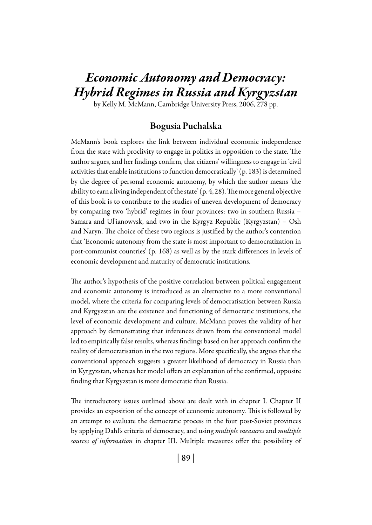# *Economic Autonomy and Democracy: Hybrid Regimes in Russia and Kyrgyzstan*

by Kelly M. McMann, Cambridge University Press, 2006, 278 pp.

### Bogusia Puchalska

McMann's book explores the link between individual economic independence from the state with proclivity to engage in politics in opposition to the state. The author argues, and her findings confirm, that citizens' willingness to engage in 'civil activities that enable institutions to function democratically' (p. 183) is determined by the degree of personal economic autonomy, by which the author means 'the ability to earn a living independent of the state' (p. 4, 28). The more general objective of this book is to contribute to the studies of uneven development of democracy by comparing two 'hybrid' regimes in four provinces: two in southern Russia – Samara and Ul'ianowvsk, and two in the Kyrgyz Republic (Kyrgyzstan) – Osh and Naryn. The choice of these two regions is justified by the author's contention that 'Economic autonomy from the state is most important to democratization in post-communist countries' (p. 168) as well as by the stark differences in levels of economic development and maturity of democratic institutions.

The author's hypothesis of the positive correlation between political engagement and economic autonomy is introduced as an alternative to a more conventional model, where the criteria for comparing levels of democratisation between Russia and Kyrgyzstan are the existence and functioning of democratic institutions, the level of economic development and culture. McMann proves the validity of her approach by demonstrating that inferences drawn from the conventional model led to empirically false results, whereas findings based on her approach confirm the reality of democratisation in the two regions. More specifically, she argues that the conventional approach suggests a greater likelihood of democracy in Russia than in Kyrgyzstan, whereas her model offers an explanation of the confirmed, opposite finding that Kyrgyzstan is more democratic than Russia.

The introductory issues outlined above are dealt with in chapter I. Chapter II provides an exposition of the concept of economic autonomy. This is followed by an attempt to evaluate the democratic process in the four post-Soviet provinces by applying Dahl's criteria of democracy, and using *multiple measures* and *multiple sources of information* in chapter III. Multiple measures offer the possibility of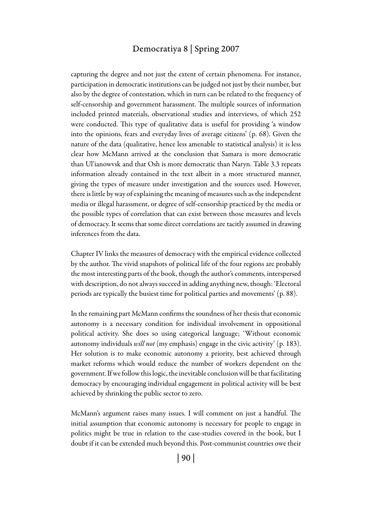#### Democratiya 8 | Spring 2007

capturing the degree and not just the extent of certain phenomena. For instance, participation in democratic institutions can be judged not just by their number, but also by the degree of contestation, which in turn can be related to the frequency of self-censorship and government harassment. The multiple sources of information included printed materials, observational studies and interviews, of which 252 were conducted. This type of qualitative data is useful for providing 'a window into the opinions, fears and everyday lives of average citizens' (p. 68). Given the nature of the data (qualitative, hence less amenable to statistical analysis) it is less clear how McMann arrived at the conclusion that Samara is more democratic than Ul'ianowvsk and that Osh is more democratic than Naryn. Table 3.3 repeats information already contained in the text albeit in a more structured manner, giving the types of measure under investigation and the sources used. However, there is little by way of explaining the meaning of measures such as the independent media or illegal harassment, or degree of self-censorship practiced by the media or the possible types of correlation that can exist between those measures and levels of democracy. It seems that some direct correlations are tacitly assumed in drawing inferences from the data.

Chapter IV links the measures of democracy with the empirical evidence collected by the author. The vivid snapshots of political life of the four regions are probably the most interesting parts of the book, though the author's comments, interspersed with description, do not always succeed in adding anything new, though: 'Electoral periods are typically the busiest time for political parties and movements' (p. 88).

In the remaining part McMann confirms the soundness of her thesis that economic autonomy is a necessary condition for individual involvement in oppositional political activity. She does so using categorical language; 'Without economic autonomy individuals *will not* (my emphasis) engage in the civic activity' (p. 183). Her solution is to make economic autonomy a priority, best achieved through market reforms which would reduce the number of workers dependent on the government. If we follow this logic, the inevitable conclusion will be that facilitating democracy by encouraging individual engagement in political activity will be best achieved by shrinking the public sector to zero.

McMann's argument raises many issues. I will comment on just a handful. The initial assumption that economic autonomy is necessary for people to engage in politics might be true in relation to the case-studies covered in the book, but I doubt if it can be extended much beyond this. Post-communist countries owe their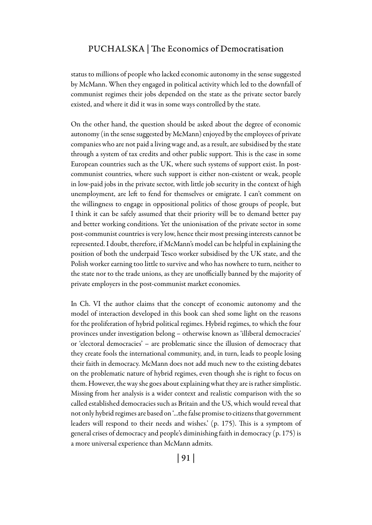#### Puchalska | The Economics of Democratisation

status to millions of people who lacked economic autonomy in the sense suggested by McMann. When they engaged in political activity which led to the downfall of communist regimes their jobs depended on the state as the private sector barely existed, and where it did it was in some ways controlled by the state.

On the other hand, the question should be asked about the degree of economic autonomy (in the sense suggested by McMann) enjoyed by the employees of private companies who are not paid a living wage and, as a result, are subsidised by the state through a system of tax credits and other public support. This is the case in some European countries such as the UK, where such systems of support exist. In postcommunist countries, where such support is either non-existent or weak, people in low-paid jobs in the private sector, with little job security in the context of high unemployment, are left to fend for themselves or emigrate. I can't comment on the willingness to engage in oppositional politics of those groups of people, but I think it can be safely assumed that their priority will be to demand better pay and better working conditions. Yet the unionisation of the private sector in some post-communist countries is very low, hence their most pressing interests cannot be represented. I doubt, therefore, if McMann's model can be helpful in explaining the position of both the underpaid Tesco worker subsidised by the UK state, and the Polish worker earning too little to survive and who has nowhere to turn, neither to the state nor to the trade unions, as they are unofficially banned by the majority of private employers in the post-communist market economies.

In Ch. VI the author claims that the concept of economic autonomy and the model of interaction developed in this book can shed some light on the reasons for the proliferation of hybrid political regimes. Hybrid regimes, to which the four provinces under investigation belong – otherwise known as 'illiberal democracies' or 'electoral democracies' – are problematic since the illusion of democracy that they create fools the international community, and, in turn, leads to people losing their faith in democracy. McMann does not add much new to the existing debates on the problematic nature of hybrid regimes, even though she is right to focus on them. However, the way she goes about explaining what they are is rather simplistic. Missing from her analysis is a wider context and realistic comparison with the so called established democracies such as Britain and the US, which would reveal that not only hybrid regimes are based on '...the false promise to citizens that government leaders will respond to their needs and wishes.' (p. 175). This is a symptom of general crises of democracy and people's diminishing faith in democracy (p. 175) is a more universal experience than McMann admits.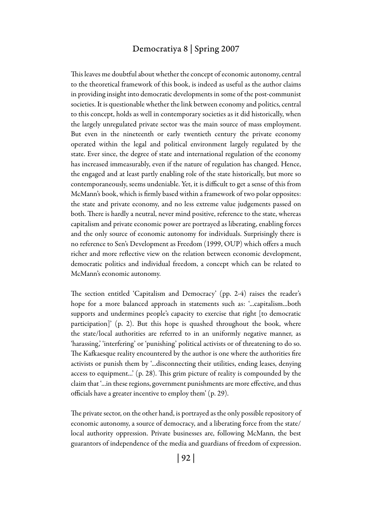#### Democratiya 8 | Spring 2007

This leaves me doubtful about whether the concept of economic autonomy, central to the theoretical framework of this book, is indeed as useful as the author claims in providing insight into democratic developments in some of the post-communist societies. It is questionable whether the link between economy and politics, central to this concept, holds as well in contemporary societies as it did historically, when the largely unregulated private sector was the main source of mass employment. But even in the nineteenth or early twentieth century the private economy operated within the legal and political environment largely regulated by the state. Ever since, the degree of state and international regulation of the economy has increased immeasurably, even if the nature of regulation has changed. Hence, the engaged and at least partly enabling role of the state historically, but more so contemporaneously, seems undeniable. Yet, it is difficult to get a sense of this from McMann's book, which is firmly based within a framework of two polar opposites: the state and private economy, and no less extreme value judgements passed on both. There is hardly a neutral, never mind positive, reference to the state, whereas capitalism and private economic power are portrayed as liberating, enabling forces and the only source of economic autonomy for individuals. Surprisingly there is no reference to Sen's Development as Freedom (1999, OUP) which offers a much richer and more reflective view on the relation between economic development, democratic politics and individual freedom, a concept which can be related to McMann's economic autonomy.

The section entitled 'Capitalism and Democracy' (pp. 2-4) raises the reader's hope for a more balanced approach in statements such as: '...capitalism...both supports and undermines people's capacity to exercise that right [to democratic participation]' (p. 2). But this hope is quashed throughout the book, where the state/local authorities are referred to in an uniformly negative manner, as 'harassing,' 'interfering' or 'punishing' political activists or of threatening to do so. The Kafkaesque reality encountered by the author is one where the authorities fire activists or punish them by '...disconnecting their utilities, ending leases, denying access to equipment...' (p. 28). This grim picture of reality is compounded by the claim that '...in these regions, government punishments are more effective, and thus officials have a greater incentive to employ them' (p. 29).

The private sector, on the other hand, is portrayed as the only possible repository of economic autonomy, a source of democracy, and a liberating force from the state/ local authority oppression. Private businesses are, following McMann, the best guarantors of independence of the media and guardians of freedom of expression.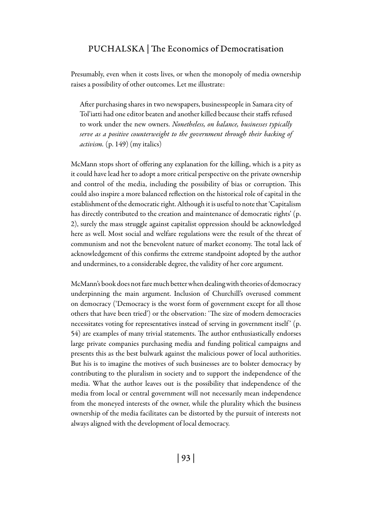#### Puchalska | The Economics of Democratisation

Presumably, even when it costs lives, or when the monopoly of media ownership raises a possibility of other outcomes. Let me illustrate:

After purchasing shares in two newspapers, businesspeople in Samara city of Tol'iatti had one editor beaten and another killed because their staffs refused to work under the new owners. *Nonetheless, on balance, businesses typically serve as a positive counterweight to the government through their backing of activism.* (p. 149) (my italics)

McMann stops short of offering any explanation for the killing, which is a pity as it could have lead her to adopt a more critical perspective on the private ownership and control of the media, including the possibility of bias or corruption. This could also inspire a more balanced reflection on the historical role of capital in the establishment of the democratic right. Although it is useful to note that 'Capitalism has directly contributed to the creation and maintenance of democratic rights' (p. 2), surely the mass struggle against capitalist oppression should be acknowledged here as well. Most social and welfare regulations were the result of the threat of communism and not the benevolent nature of market economy. The total lack of acknowledgement of this confirms the extreme standpoint adopted by the author and undermines, to a considerable degree, the validity of her core argument.

McMann's book does not fare much better when dealing with theories of democracy underpinning the main argument. Inclusion of Churchill's overused comment on democracy ('Democracy is the worst form of government except for all those others that have been tried') or the observation: 'The size of modern democracies necessitates voting for representatives instead of serving in government itself' (p. 54) are examples of many trivial statements. The author enthusiastically endorses large private companies purchasing media and funding political campaigns and presents this as the best bulwark against the malicious power of local authorities. But his is to imagine the motives of such businesses are to bolster democracy by contributing to the pluralism in society and to support the independence of the media. What the author leaves out is the possibility that independence of the media from local or central government will not necessarily mean independence from the moneyed interests of the owner, while the plurality which the business ownership of the media facilitates can be distorted by the pursuit of interests not always aligned with the development of local democracy.